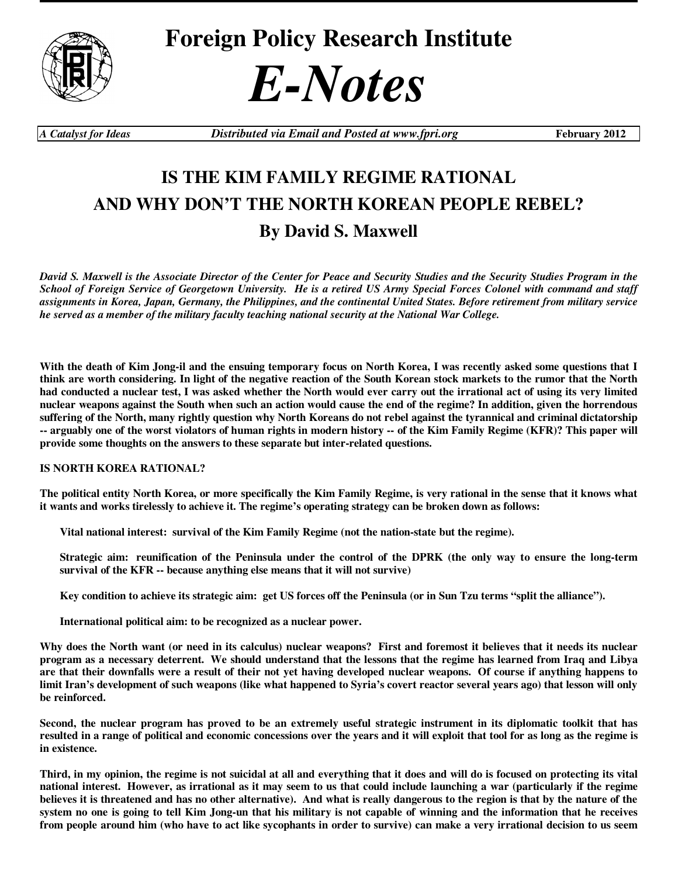

**Foreign Policy Research Institute** 



*A Catalyst for Ideas Distributed via Email and Posted at www.fpri.org* **February 2012** 

## **IS THE KIM FAMILY REGIME RATIONAL AND WHY DON'T THE NORTH KOREAN PEOPLE REBEL? By David S. Maxwell**

*David S. Maxwell is the Associate Director of the Center for Peace and Security Studies and the Security Studies Program in the School of Foreign Service of Georgetown University. He is a retired US Army Special Forces Colonel with command and staff assignments in Korea, Japan, Germany, the Philippines, and the continental United States. Before retirement from military service he served as a member of the military faculty teaching national security at the National War College.* 

With the death of Kim Jong-il and the ensuing temporary focus on North Korea, I was recently asked some questions that I **think are worth considering. In light of the negative reaction of the South Korean stock markets to the rumor that the North had conducted a nuclear test, I was asked whether the North would ever carry out the irrational act of using its very limited nuclear weapons against the South when such an action would cause the end of the regime? In addition, given the horrendous suffering of the North, many rightly question why North Koreans do not rebel against the tyrannical and criminal dictatorship -- arguably one of the worst violators of human rights in modern history -- of the Kim Family Regime (KFR)? This paper will provide some thoughts on the answers to these separate but inter-related questions.** 

## **IS NORTH KOREA RATIONAL?**

**The political entity North Korea, or more specifically the Kim Family Regime, is very rational in the sense that it knows what it wants and works tirelessly to achieve it. The regime's operating strategy can be broken down as follows:** 

**Vital national interest: survival of the Kim Family Regime (not the nation-state but the regime).** 

**Strategic aim: reunification of the Peninsula under the control of the DPRK (the only way to ensure the long-term survival of the KFR -- because anything else means that it will not survive)** 

**Key condition to achieve its strategic aim: get US forces off the Peninsula (or in Sun Tzu terms "split the alliance").** 

**International political aim: to be recognized as a nuclear power.** 

**Why does the North want (or need in its calculus) nuclear weapons? First and foremost it believes that it needs its nuclear program as a necessary deterrent. We should understand that the lessons that the regime has learned from Iraq and Libya are that their downfalls were a result of their not yet having developed nuclear weapons. Of course if anything happens to limit Iran's development of such weapons (like what happened to Syria's covert reactor several years ago) that lesson will only be reinforced.** 

**Second, the nuclear program has proved to be an extremely useful strategic instrument in its diplomatic toolkit that has resulted in a range of political and economic concessions over the years and it will exploit that tool for as long as the regime is in existence.** 

**Third, in my opinion, the regime is not suicidal at all and everything that it does and will do is focused on protecting its vital national interest. However, as irrational as it may seem to us that could include launching a war (particularly if the regime believes it is threatened and has no other alternative). And what is really dangerous to the region is that by the nature of the system no one is going to tell Kim Jong-un that his military is not capable of winning and the information that he receives from people around him (who have to act like sycophants in order to survive) can make a very irrational decision to us seem**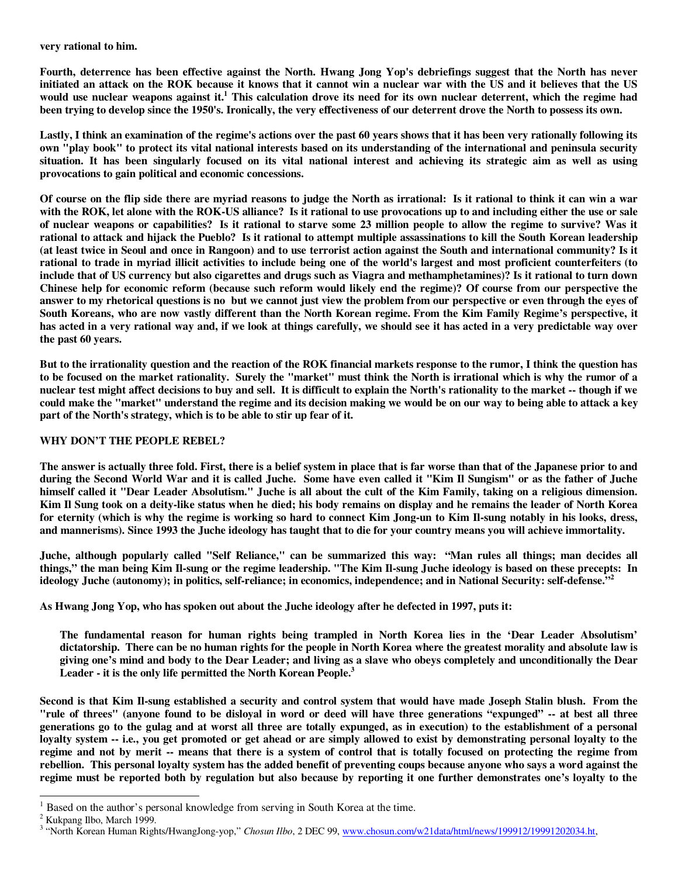**very rational to him.** 

**Fourth, deterrence has been effective against the North. Hwang Jong Yop's debriefings suggest that the North has never initiated an attack on the ROK because it knows that it cannot win a nuclear war with the US and it believes that the US would use nuclear weapons against it.<sup>1</sup> This calculation drove its need for its own nuclear deterrent, which the regime had been trying to develop since the 1950's. Ironically, the very effectiveness of our deterrent drove the North to possess its own.** 

**Lastly, I think an examination of the regime's actions over the past 60 years shows that it has been very rationally following its own "play book" to protect its vital national interests based on its understanding of the international and peninsula security situation. It has been singularly focused on its vital national interest and achieving its strategic aim as well as using provocations to gain political and economic concessions.** 

**Of course on the flip side there are myriad reasons to judge the North as irrational: Is it rational to think it can win a war with the ROK, let alone with the ROK-US alliance? Is it rational to use provocations up to and including either the use or sale of nuclear weapons or capabilities? Is it rational to starve some 23 million people to allow the regime to survive? Was it rational to attack and hijack the Pueblo? Is it rational to attempt multiple assassinations to kill the South Korean leadership (at least twice in Seoul and once in Rangoon) and to use terrorist action against the South and international community? Is it rational to trade in myriad illicit activities to include being one of the world's largest and most proficient counterfeiters (to include that of US currency but also cigarettes and drugs such as Viagra and methamphetamines)? Is it rational to turn down Chinese help for economic reform (because such reform would likely end the regime)? Of course from our perspective the answer to my rhetorical questions is no but we cannot just view the problem from our perspective or even through the eyes of South Koreans, who are now vastly different than the North Korean regime. From the Kim Family Regime's perspective, it has acted in a very rational way and, if we look at things carefully, we should see it has acted in a very predictable way over the past 60 years.** 

**But to the irrationality question and the reaction of the ROK financial markets response to the rumor, I think the question has to be focused on the market rationality. Surely the "market" must think the North is irrational which is why the rumor of a nuclear test might affect decisions to buy and sell. It is difficult to explain the North's rationality to the market -- though if we could make the "market" understand the regime and its decision making we would be on our way to being able to attack a key part of the North's strategy, which is to be able to stir up fear of it.** 

## **WHY DON'T THE PEOPLE REBEL?**

**The answer is actually three fold. First, there is a belief system in place that is far worse than that of the Japanese prior to and during the Second World War and it is called Juche. Some have even called it "Kim Il Sungism" or as the father of Juche himself called it "Dear Leader Absolutism." Juche is all about the cult of the Kim Family, taking on a religious dimension. Kim Il Sung took on a deity-like status when he died; his body remains on display and he remains the leader of North Korea for eternity (which is why the regime is working so hard to connect Kim Jong-un to Kim Il-sung notably in his looks, dress, and mannerisms). Since 1993 the Juche ideology has taught that to die for your country means you will achieve immortality.** 

**Juche, although popularly called "Self Reliance," can be summarized this way: "Man rules all things; man decides all things," the man being Kim Il-sung or the regime leadership. "The Kim Il-sung Juche ideology is based on these precepts: In ideology Juche (autonomy); in politics, self-reliance; in economics, independence; and in National Security: self-defense."<sup>2</sup>**

**As Hwang Jong Yop, who has spoken out about the Juche ideology after he defected in 1997, puts it:** 

**The fundamental reason for human rights being trampled in North Korea lies in the 'Dear Leader Absolutism' dictatorship. There can be no human rights for the people in North Korea where the greatest morality and absolute law is giving one's mind and body to the Dear Leader; and living as a slave who obeys completely and unconditionally the Dear Leader - it is the only life permitted the North Korean People.<sup>3</sup>** 

**Second is that Kim Il-sung established a security and control system that would have made Joseph Stalin blush. From the "rule of threes" (anyone found to be disloyal in word or deed will have three generations "expunged" -- at best all three generations go to the gulag and at worst all three are totally expunged, as in execution) to the establishment of a personal loyalty system -- i.e., you get promoted or get ahead or are simply allowed to exist by demonstrating personal loyalty to the regime and not by merit -- means that there is a system of control that is totally focused on protecting the regime from rebellion. This personal loyalty system has the added benefit of preventing coups because anyone who says a word against the regime must be reported both by regulation but also because by reporting it one further demonstrates one's loyalty to the** 

<sup>&</sup>lt;sup>1</sup> Based on the author's personal knowledge from serving in South Korea at the time.

<sup>&</sup>lt;sup>2</sup> Kukpang Ilbo, March 1999.

<sup>&</sup>lt;sup>3</sup> "North Korean Human Rights/HwangJong-yop," *Chosun Ilbo*, 2 DEC 99, www.chosun.com/w21data/html/news/199912/19991202034.ht,